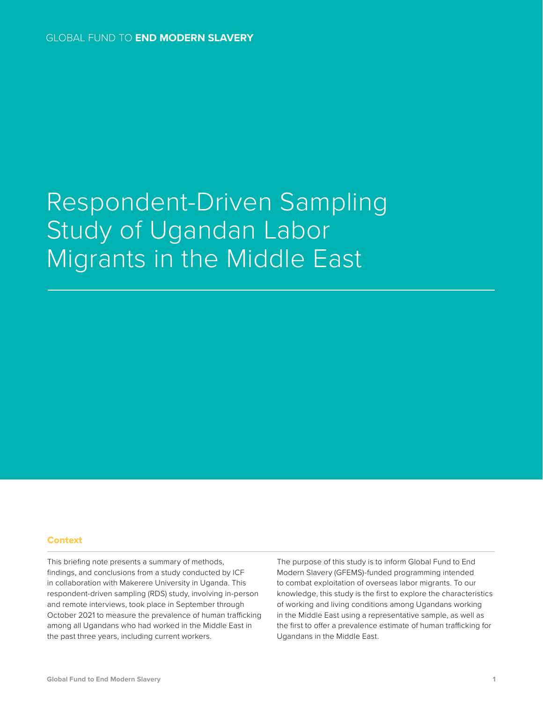# Respondent-Driven Sampling Study of Ugandan Labor Migrants in the Middle East

#### Context

This briefing note presents a summary of methods, findings, and conclusions from a study conducted by ICF in collaboration with Makerere University in Uganda. This respondent-driven sampling (RDS) study, involving in-person and remote interviews, took place in September through October 2021 to measure the prevalence of human trafficking among all Ugandans who had worked in the Middle East in the past three years, including current workers.

The purpose of this study is to inform Global Fund to End Modern Slavery (GFEMS)-funded programming intended to combat exploitation of overseas labor migrants. To our knowledge, this study is the first to explore the characteristics of working and living conditions among Ugandans working in the Middle East using a representative sample, as well as the first to offer a prevalence estimate of human trafficking for Ugandans in the Middle East.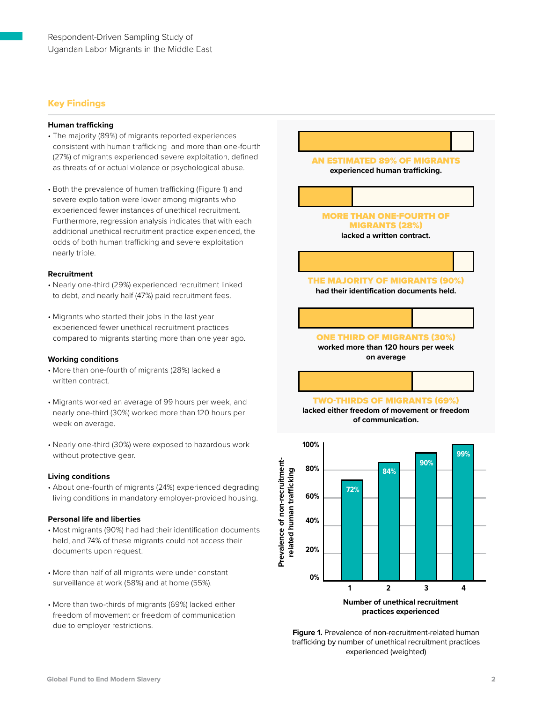## Key Findings

#### **Human trafficking**

- The majority (89%) of migrants reported experiences consistent with human trafficking and more than one-fourth (27%) of migrants experienced severe exploitation, defined as threats of or actual violence or psychological abuse.
- Both the prevalence of human trafficking (Figure 1) and severe exploitation were lower among migrants who experienced fewer instances of unethical recruitment. Furthermore, regression analysis indicates that with each additional unethical recruitment practice experienced, the odds of both human trafficking and severe exploitation nearly triple.

#### **Recruitment**

- Nearly one-third (29%) experienced recruitment linked to debt, and nearly half (47%) paid recruitment fees.
- Migrants who started their jobs in the last year experienced fewer unethical recruitment practices compared to migrants starting more than one year ago.

#### **Working conditions**

- More than one-fourth of migrants (28%) lacked a written contract.
- Migrants worked an average of 99 hours per week, and nearly one-third (30%) worked more than 120 hours per week on average.
- Nearly one-third (30%) were exposed to hazardous work without protective gear.

#### **Living conditions**

• About one-fourth of migrants (24%) experienced degrading living conditions in mandatory employer-provided housing.

#### **Personal life and liberties**

- Most migrants (90%) had had their identification documents held, and 74% of these migrants could not access their documents upon request.
- More than half of all migrants were under constant surveillance at work (58%) and at home (55%).
- More than two-thirds of migrants (69%) lacked either freedom of movement or freedom of communication due to employer restrictions.



**practices experienced**

**Figure 1.** Prevalence of non-recruitment-related human trafficking by number of unethical recruitment practices experienced (weighted)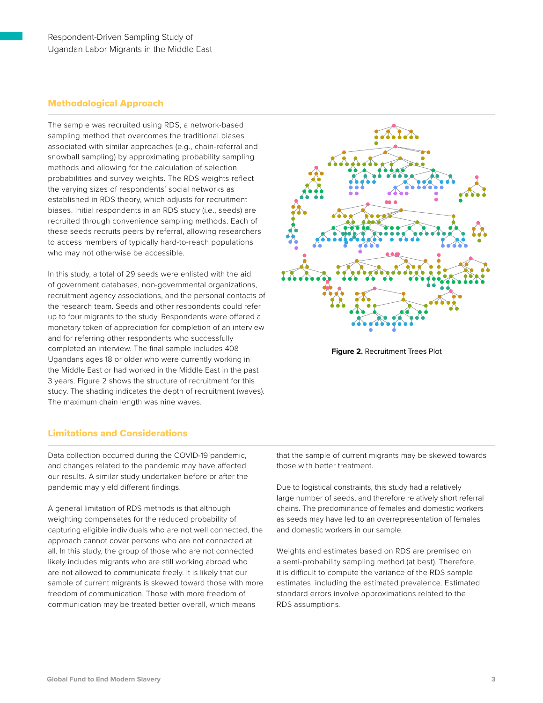## Methodological Approach

The sample was recruited using RDS, a network-based sampling method that overcomes the traditional biases associated with similar approaches (e.g., chain-referral and snowball sampling) by approximating probability sampling methods and allowing for the calculation of selection probabilities and survey weights. The RDS weights reflect the varying sizes of respondents' social networks as established in RDS theory, which adjusts for recruitment biases. Initial respondents in an RDS study (i.e., seeds) are recruited through convenience sampling methods. Each of these seeds recruits peers by referral, allowing researchers to access members of typically hard-to-reach populations who may not otherwise be accessible.

In this study, a total of 29 seeds were enlisted with the aid of government databases, non-governmental organizations, recruitment agency associations, and the personal contacts of the research team. Seeds and other respondents could refer up to four migrants to the study. Respondents were offered a monetary token of appreciation for completion of an interview and for referring other respondents who successfully completed an interview. The final sample includes 408 Ugandans ages 18 or older who were currently working in the Middle East or had worked in the Middle East in the past 3 years. Figure 2 shows the structure of recruitment for this study. The shading indicates the depth of recruitment (waves). The maximum chain length was nine waves.



**Figure 2.** Recruitment Trees Plot

### Limitations and Considerations

Data collection occurred during the COVID-19 pandemic, and changes related to the pandemic may have affected our results. A similar study undertaken before or after the pandemic may yield different findings.

A general limitation of RDS methods is that although weighting compensates for the reduced probability of capturing eligible individuals who are not well connected, the approach cannot cover persons who are not connected at all. In this study, the group of those who are not connected likely includes migrants who are still working abroad who are not allowed to communicate freely. It is likely that our sample of current migrants is skewed toward those with more freedom of communication. Those with more freedom of communication may be treated better overall, which means

that the sample of current migrants may be skewed towards those with better treatment.

Due to logistical constraints, this study had a relatively large number of seeds, and therefore relatively short referral chains. The predominance of females and domestic workers as seeds may have led to an overrepresentation of females and domestic workers in our sample.

Weights and estimates based on RDS are premised on a semi-probability sampling method (at best). Therefore, it is difficult to compute the variance of the RDS sample estimates, including the estimated prevalence. Estimated standard errors involve approximations related to the RDS assumptions.